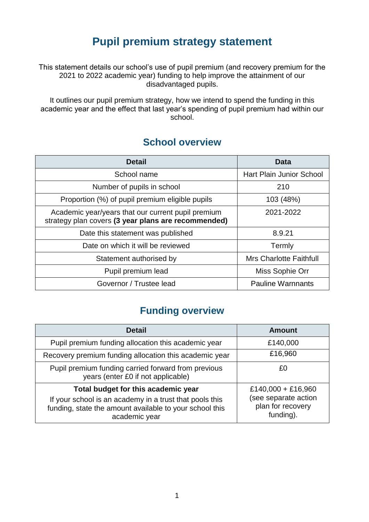## **Pupil premium strategy statement**

This statement details our school's use of pupil premium (and recovery premium for the 2021 to 2022 academic year) funding to help improve the attainment of our disadvantaged pupils.

It outlines our pupil premium strategy, how we intend to spend the funding in this academic year and the effect that last year's spending of pupil premium had within our school.

#### **School overview**

| <b>Detail</b>                                                                                             | Data                            |
|-----------------------------------------------------------------------------------------------------------|---------------------------------|
| School name                                                                                               | <b>Hart Plain Junior School</b> |
| Number of pupils in school                                                                                | 210                             |
| Proportion (%) of pupil premium eligible pupils                                                           | 103 (48%)                       |
| Academic year/years that our current pupil premium<br>strategy plan covers (3 year plans are recommended) | 2021-2022                       |
| Date this statement was published                                                                         | 8.9.21                          |
| Date on which it will be reviewed                                                                         | Termly                          |
| Statement authorised by                                                                                   | <b>Mrs Charlotte Faithfull</b>  |
| Pupil premium lead                                                                                        | Miss Sophie Orr                 |
| Governor / Trustee lead                                                                                   | <b>Pauline Warnnants</b>        |

#### **Funding overview**

| <b>Detail</b>                                                                                                                       | <b>Amount</b>                                          |  |
|-------------------------------------------------------------------------------------------------------------------------------------|--------------------------------------------------------|--|
| Pupil premium funding allocation this academic year                                                                                 | £140,000                                               |  |
| Recovery premium funding allocation this academic year                                                                              | £16,960                                                |  |
| Pupil premium funding carried forward from previous<br>years (enter £0 if not applicable)                                           | £Ο                                                     |  |
| Total budget for this academic year                                                                                                 | £140,000 + £16,960                                     |  |
| If your school is an academy in a trust that pools this<br>funding, state the amount available to your school this<br>academic year | (see separate action<br>plan for recovery<br>funding). |  |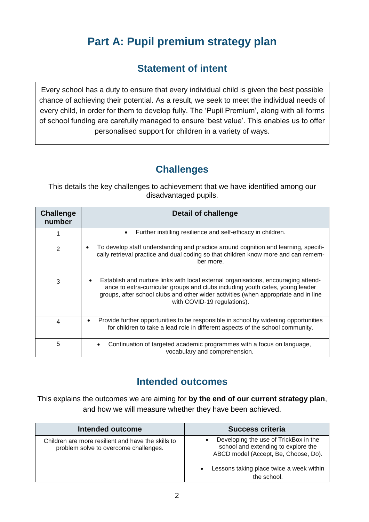# **Part A: Pupil premium strategy plan**

## **Statement of intent**

Every school has a duty to ensure that every individual child is given the best possible chance of achieving their potential. As a result, we seek to meet the individual needs of every child, in order for them to develop fully. The 'Pupil Premium', along with all forms of school funding are carefully managed to ensure 'best value'. This enables us to offer personalised support for children in a variety of ways.

## **Challenges**

This details the key challenges to achievement that we have identified among our disadvantaged pupils.

| <b>Challenge</b><br>number | Detail of challenge                                                                                                                                                                                                                                                                       |
|----------------------------|-------------------------------------------------------------------------------------------------------------------------------------------------------------------------------------------------------------------------------------------------------------------------------------------|
|                            | Further instilling resilience and self-efficacy in children.                                                                                                                                                                                                                              |
| 2                          | To develop staff understanding and practice around cognition and learning, specifi-<br>$\bullet$<br>cally retrieval practice and dual coding so that children know more and can remem-<br>ber more.                                                                                       |
| 3                          | Establish and nurture links with local external organisations, encouraging attend-<br>ance to extra-curricular groups and clubs including youth cafes, young leader<br>groups, after school clubs and other wider activities (when appropriate and in line<br>with COVID-19 regulations). |
| 4                          | Provide further opportunities to be responsible in school by widening opportunities<br>for children to take a lead role in different aspects of the school community.                                                                                                                     |
| 5                          | Continuation of targeted academic programmes with a focus on language,<br>vocabulary and comprehension.                                                                                                                                                                                   |

#### **Intended outcomes**

This explains the outcomes we are aiming for **by the end of our current strategy plan**, and how we will measure whether they have been achieved.

| Intended outcome                                                                            | <b>Success criteria</b>                                                                                                                                                         |
|---------------------------------------------------------------------------------------------|---------------------------------------------------------------------------------------------------------------------------------------------------------------------------------|
| Children are more resilient and have the skills to<br>problem solve to overcome challenges. | Developing the use of TrickBox in the<br>school and extending to explore the<br>ABCD model (Accept, Be, Choose, Do).<br>Lessons taking place twice a week within<br>the school. |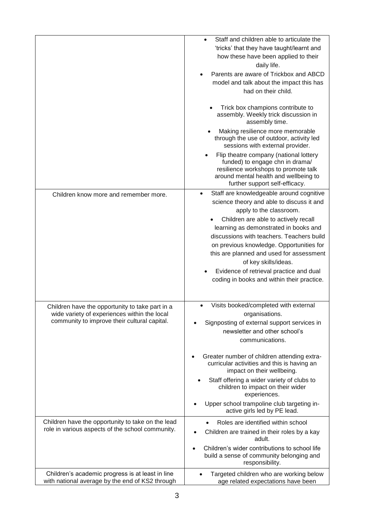|                                                                                                                                                 | Staff and children able to articulate the<br>'tricks' that they have taught/learnt and<br>how these have been applied to their<br>daily life.<br>Parents are aware of Trickbox and ABCD<br>model and talk about the impact this has<br>had on their child.                                                                          |
|-------------------------------------------------------------------------------------------------------------------------------------------------|-------------------------------------------------------------------------------------------------------------------------------------------------------------------------------------------------------------------------------------------------------------------------------------------------------------------------------------|
|                                                                                                                                                 | Trick box champions contribute to<br>assembly. Weekly trick discussion in<br>assembly time.                                                                                                                                                                                                                                         |
|                                                                                                                                                 | Making resilience more memorable<br>through the use of outdoor, activity led<br>sessions with external provider.                                                                                                                                                                                                                    |
|                                                                                                                                                 | Flip theatre company (national lottery<br>funded) to engage chn in drama/<br>resilience workshops to promote talk<br>around mental health and wellbeing to<br>further support self-efficacy.                                                                                                                                        |
| Children know more and remember more.                                                                                                           | Staff are knowledgeable around cognitive<br>$\bullet$<br>science theory and able to discuss it and<br>apply to the classroom.                                                                                                                                                                                                       |
|                                                                                                                                                 | Children are able to actively recall<br>learning as demonstrated in books and<br>discussions with teachers. Teachers build<br>on previous knowledge. Opportunities for<br>this are planned and used for assessment<br>of key skills/ideas.<br>Evidence of retrieval practice and dual<br>coding in books and within their practice. |
|                                                                                                                                                 |                                                                                                                                                                                                                                                                                                                                     |
| Children have the opportunity to take part in a<br>wide variety of experiences within the local<br>community to improve their cultural capital. | Visits booked/completed with external<br>$\bullet$<br>organisations.<br>Signposting of external support services in<br>newsletter and other school's<br>communications.                                                                                                                                                             |
|                                                                                                                                                 | Greater number of children attending extra-<br>curricular activities and this is having an<br>impact on their wellbeing.                                                                                                                                                                                                            |
|                                                                                                                                                 | Staff offering a wider variety of clubs to<br>children to impact on their wider<br>experiences.                                                                                                                                                                                                                                     |
|                                                                                                                                                 | Upper school trampoline club targeting in-<br>active girls led by PE lead.                                                                                                                                                                                                                                                          |
| Children have the opportunity to take on the lead<br>role in various aspects of the school community.                                           | Roles are identified within school<br>Children are trained in their roles by a kay<br>adult.                                                                                                                                                                                                                                        |
|                                                                                                                                                 | Children's wider contributions to school life<br>build a sense of community belonging and<br>responsibility.                                                                                                                                                                                                                        |
| Children's academic progress is at least in line<br>with national average by the end of KS2 through                                             | Targeted children who are working below<br>age related expectations have been                                                                                                                                                                                                                                                       |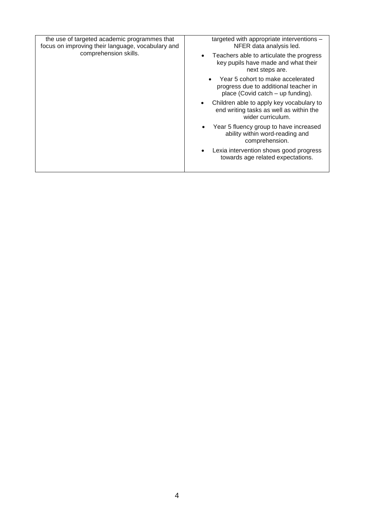| the use of targeted academic programmes that<br>focus on improving their language, vocabulary and<br>comprehension skills. | targeted with appropriate interventions -<br>NFER data analysis led.                                                  |
|----------------------------------------------------------------------------------------------------------------------------|-----------------------------------------------------------------------------------------------------------------------|
|                                                                                                                            | Teachers able to articulate the progress<br>key pupils have made and what their<br>next steps are.                    |
|                                                                                                                            | Year 5 cohort to make accelerated<br>progress due to additional teacher in<br>place (Covid catch – up funding).       |
|                                                                                                                            | Children able to apply key vocabulary to<br>$\bullet$<br>end writing tasks as well as within the<br>wider curriculum. |
|                                                                                                                            | Year 5 fluency group to have increased<br>ability within word-reading and<br>comprehension.                           |
|                                                                                                                            | Lexia intervention shows good progress<br>towards age related expectations.                                           |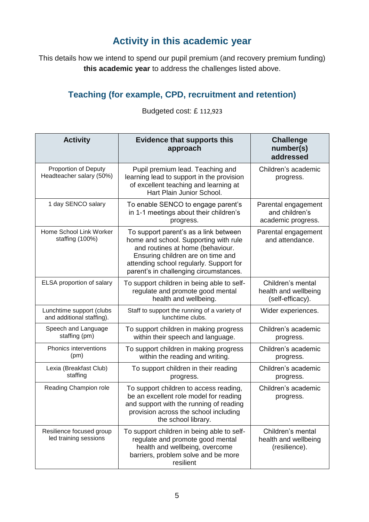## **Activity in this academic year**

This details how we intend to spend our pupil premium (and recovery premium funding) **this academic year** to address the challenges listed above.

## **Teaching (for example, CPD, recruitment and retention)**

| <b>Activity</b>                                       | <b>Evidence that supports this</b><br>approach                                                                                                                                                                                               | <b>Challenge</b><br>number(s)<br>addressed                    |
|-------------------------------------------------------|----------------------------------------------------------------------------------------------------------------------------------------------------------------------------------------------------------------------------------------------|---------------------------------------------------------------|
| Proportion of Deputy<br>Headteacher salary (50%)      | Pupil premium lead. Teaching and<br>learning lead to support in the provision<br>of excellent teaching and learning at<br>Hart Plain Junior School.                                                                                          | Children's academic<br>progress.                              |
| 1 day SENCO salary                                    | To enable SENCO to engage parent's<br>in 1-1 meetings about their children's<br>progress.                                                                                                                                                    | Parental engagement<br>and children's<br>academic progress.   |
| Home School Link Worker<br>staffing (100%)            | To support parent's as a link between<br>home and school. Supporting with rule<br>and routines at home (behaviour.<br>Ensuring children are on time and<br>attending school regularly. Support for<br>parent's in challenging circumstances. | Parental engagement<br>and attendance.                        |
| ELSA proportion of salary                             | To support children in being able to self-<br>regulate and promote good mental<br>health and wellbeing.                                                                                                                                      | Children's mental<br>health and wellbeing<br>(self-efficacy). |
| Lunchtime support (clubs<br>and additional staffing). | Staff to support the running of a variety of<br>lunchtime clubs.                                                                                                                                                                             | Wider experiences.                                            |
| Speech and Language<br>staffing (pm)                  | To support children in making progress<br>within their speech and language.                                                                                                                                                                  | Children's academic<br>progress.                              |
| Phonics interventions<br>(pm)                         | To support children in making progress<br>within the reading and writing.                                                                                                                                                                    | Children's academic<br>progress.                              |
| Lexia (Breakfast Club)<br>staffing                    | To support children in their reading<br>progress.                                                                                                                                                                                            | Children's academic<br>progress.                              |
| Reading Champion role                                 | To support children to access reading,<br>be an excellent role model for reading<br>and support with the running of reading<br>provision across the school including<br>the school library.                                                  | Children's academic<br>progress.                              |
| Resilience focused group<br>led training sessions     | To support children in being able to self-<br>regulate and promote good mental<br>health and wellbeing, overcome<br>barriers, problem solve and be more<br>resilient                                                                         | Children's mental<br>health and wellbeing<br>(resilience).    |

Budgeted cost: £ 112,923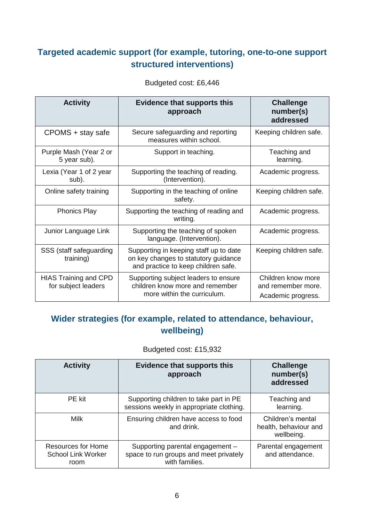#### **Targeted academic support (for example, tutoring, one-to-one support structured interventions)**

| <b>Activity</b>                                     | <b>Evidence that supports this</b><br>approach                                                                        | <b>Challenge</b><br>number(s)<br>addressed                     |
|-----------------------------------------------------|-----------------------------------------------------------------------------------------------------------------------|----------------------------------------------------------------|
| CPOMS + stay safe                                   | Secure safeguarding and reporting<br>measures within school.                                                          | Keeping children safe.                                         |
| Purple Mash (Year 2 or<br>5 year sub).              | Support in teaching.                                                                                                  | Teaching and<br>learning.                                      |
| Lexia (Year 1 of 2 year<br>sub).                    | Supporting the teaching of reading.<br>(Intervention).                                                                | Academic progress.                                             |
| Online safety training                              | Supporting in the teaching of online<br>safety.                                                                       | Keeping children safe.                                         |
| <b>Phonics Play</b>                                 | Supporting the teaching of reading and<br>writing.                                                                    | Academic progress.                                             |
| Junior Language Link                                | Supporting the teaching of spoken<br>language. (Intervention).                                                        | Academic progress.                                             |
| SSS (staff safeguarding<br>training)                | Supporting in keeping staff up to date<br>on key changes to statutory guidance<br>and practice to keep children safe. | Keeping children safe.                                         |
| <b>HIAS Training and CPD</b><br>for subject leaders | Supporting subject leaders to ensure<br>children know more and remember<br>more within the curriculum.                | Children know more<br>and remember more.<br>Academic progress. |

Budgeted cost: £6,446

#### **Wider strategies (for example, related to attendance, behaviour, wellbeing)**

Budgeted cost: £15,932

| <b>Activity</b>                                                | <b>Evidence that supports this</b><br>approach                                               | <b>Challenge</b><br>number(s)<br>addressed               |
|----------------------------------------------------------------|----------------------------------------------------------------------------------------------|----------------------------------------------------------|
| PE kit                                                         | Supporting children to take part in PE<br>sessions weekly in appropriate clothing.           | Teaching and<br>learning.                                |
| Milk                                                           | Ensuring children have access to food<br>and drink.                                          | Children's mental<br>health, behaviour and<br>wellbeing. |
| <b>Resources for Home</b><br><b>School Link Worker</b><br>room | Supporting parental engagement -<br>space to run groups and meet privately<br>with families. | Parental engagement<br>and attendance.                   |